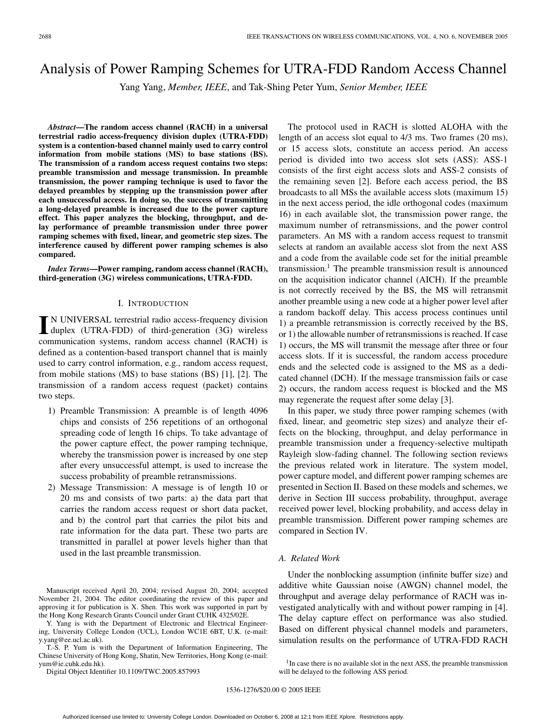# Analysis of Power Ramping Schemes for UTRA-FDD Random Access Channel

Yang Yang, *Member, IEEE*, and Tak-Shing Peter Yum, *Senior Member, IEEE*

*Abstract***—The random access channel (RACH) in a universal terrestrial radio access-frequency division duplex (UTRA-FDD) system is a contention-based channel mainly used to carry control information from mobile stations (MS) to base stations (BS). The transmission of a random access request contains two steps: preamble transmission and message transmission. In preamble transmission, the power ramping technique is used to favor the delayed preambles by stepping up the transmission power after each unsuccessful access. In doing so, the success of transmitting a long-delayed preamble is increased due to the power capture effect. This paper analyzes the blocking, throughput, and delay performance of preamble transmission under three power ramping schemes with fixed, linear, and geometric step sizes. The interference caused by different power ramping schemes is also compared.**

*Index Terms***—Power ramping, random access channel (RACH), third-generation (3G) wireless communications, UTRA-FDD.**

#### I. INTRODUCTION

**I** N UNIVERSAL terrestrial radio access-frequency division<br>duplex (UTRA-FDD) of third-generation (3G) wireless communication systems, random access channel (RACH) is defined as a contention-based transport channel that is mainly used to carry control information, e.g., random access request, from mobile stations (MS) to base stations (BS) [1], [2]. The transmission of a random access request (packet) contains two steps.

- 1) Preamble Transmission: A preamble is of length 4096 chips and consists of 256 repetitions of an orthogonal spreading code of length 16 chips. To take advantage of the power capture effect, the power ramping technique, whereby the transmission power is increased by one step after every unsuccessful attempt, is used to increase the success probability of preamble retransmissions.
- 2) Message Transmission: A message is of length 10 or 20 ms and consists of two parts: a) the data part that carries the random access request or short data packet, and b) the control part that carries the pilot bits and rate information for the data part. These two parts are transmitted in parallel at power levels higher than that used in the last preamble transmission.

Manuscript received April 20, 2004; revised August 20, 2004; accepted November 21, 2004. The editor coordinating the review of this paper and approving it for publication is X. Shen. This work was supported in part by the Hong Kong Research Grants Council under Grant CUHK 4325/02E.

Y. Yang is with the Department of Electronic and Electrical Engineering, University College London (UCL), London WC1E 6BT, U.K. (e-mail: y.yang@ee.ucl.ac.uk).

T.-S. P. Yum is with the Department of Information Engineering, The Chinese University of Hong Kong, Shatin, New Territories, Hong Kong (e-mail: yum@ie.cuhk.edu.hk).

Digital Object Identifier 10.1109/TWC.2005.857993

The protocol used in RACH is slotted ALOHA with the length of an access slot equal to 4/3 ms. Two frames (20 ms), or 15 access slots, constitute an access period. An access period is divided into two access slot sets (ASS): ASS-1 consists of the first eight access slots and ASS-2 consists of the remaining seven [2]. Before each access period, the BS broadcasts to all MSs the available access slots (maximum 15) in the next access period, the idle orthogonal codes (maximum 16) in each available slot, the transmission power range, the maximum number of retransmissions, and the power control parameters. An MS with a random access request to transmit selects at random an available access slot from the next ASS and a code from the available code set for the initial preamble  $transmission<sup>1</sup>$ . The preamble transmission result is announced on the acquisition indicator channel (AICH). If the preamble is not correctly received by the BS, the MS will retransmit another preamble using a new code at a higher power level after a random backoff delay. This access process continues until 1) a preamble retransmission is correctly received by the BS, or 1) the allowable number of retransmissions is reached. If case 1) occurs, the MS will transmit the message after three or four access slots. If it is successful, the random access procedure ends and the selected code is assigned to the MS as a dedicated channel (DCH). If the message transmission fails or case 2) occurs, the random access request is blocked and the MS may regenerate the request after some delay [3].

In this paper, we study three power ramping schemes (with fixed, linear, and geometric step sizes) and analyze their effects on the blocking, throughput, and delay performance in preamble transmission under a frequency-selective multipath Rayleigh slow-fading channel. The following section reviews the previous related work in literature. The system model, power capture model, and different power ramping schemes are presented in Section II. Based on these models and schemes, we derive in Section III success probability, throughput, average received power level, blocking probability, and access delay in preamble transmission. Different power ramping schemes are compared in Section IV.

#### *A. Related Work*

Under the nonblocking assumption (infinite buffer size) and additive white Gaussian noise (AWGN) channel model, the throughput and average delay performance of RACH was investigated analytically with and without power ramping in [4]. The delay capture effect on performance was also studied. Based on different physical channel models and parameters, simulation results on the performance of UTRA-FDD RACH

<sup>&</sup>lt;sup>1</sup>In case there is no available slot in the next ASS, the preamble transmission will be delayed to the following ASS period.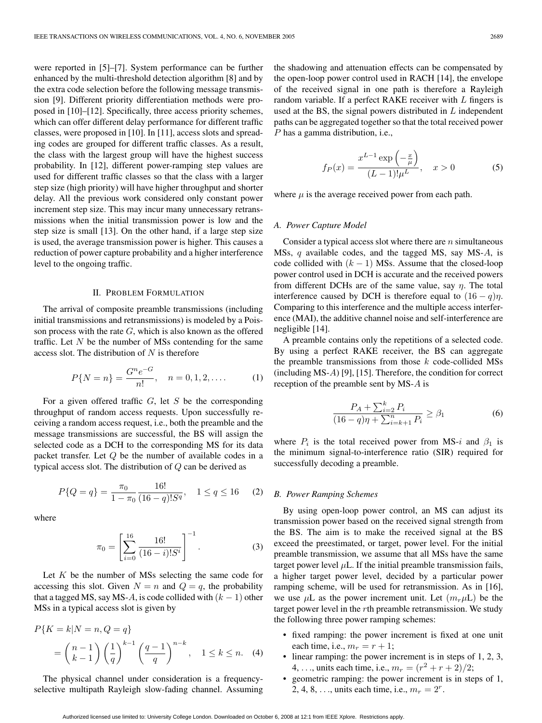were reported in [5]–[7]. System performance can be further enhanced by the multi-threshold detection algorithm [8] and by the extra code selection before the following message transmission [9]. Different priority differentiation methods were proposed in [10]–[12]. Specifically, three access priority schemes, which can offer different delay performance for different traffic classes, were proposed in [10]. In [11], access slots and spreading codes are grouped for different traffic classes. As a result, the class with the largest group will have the highest success probability. In [12], different power-ramping step values are used for different traffic classes so that the class with a larger step size (high priority) will have higher throughput and shorter delay. All the previous work considered only constant power increment step size. This may incur many unnecessary retransmissions when the initial transmission power is low and the step size is small [13]. On the other hand, if a large step size is used, the average transmission power is higher. This causes a reduction of power capture probability and a higher interference level to the ongoing traffic.

#### II. PROBLEM FORMULATION

The arrival of composite preamble transmissions (including initial transmissions and retransmissions) is modeled by a Poisson process with the rate  $G$ , which is also known as the offered traffic. Let  $N$  be the number of MSs contending for the same access slot. The distribution of  $N$  is therefore

$$
P\{N=n\} = \frac{G^n e^{-G}}{n!}, \quad n = 0, 1, 2, \dots
$$
 (1)

For a given offered traffic  $G$ , let  $S$  be the corresponding throughput of random access requests. Upon successfully receiving a random access request, i.e., both the preamble and the message transmissions are successful, the BS will assign the selected code as a DCH to the corresponding MS for its data packet transfer. Let Q be the number of available codes in a typical access slot. The distribution of  $Q$  can be derived as

$$
P\{Q=q\} = \frac{\pi_0}{1-\pi_0} \frac{16!}{(16-q)!S^q}, \quad 1 \le q \le 16 \tag{2}
$$

where

$$
\pi_0 = \left[ \sum_{i=0}^{16} \frac{16!}{(16-i)! S^i} \right]^{-1}.
$$
 (3)

Let  $K$  be the number of MSs selecting the same code for accessing this slot. Given  $N = n$  and  $Q = q$ , the probability that a tagged MS, say MS-A, is code collided with  $(k - 1)$  other MSs in a typical access slot is given by

$$
P\{K = k|N = n, Q = q\}
$$
  
=  $\binom{n-1}{k-1} \left(\frac{1}{q}\right)^{k-1} \left(\frac{q-1}{q}\right)^{n-k}, \quad 1 \le k \le n.$  (4)

The physical channel under consideration is a frequencyselective multipath Rayleigh slow-fading channel. Assuming

the shadowing and attenuation effects can be compensated by the open-loop power control used in RACH [14], the envelope of the received signal in one path is therefore a Rayleigh random variable. If a perfect RAKE receiver with  $L$  fingers is used at the BS, the signal powers distributed in  $L$  independent paths can be aggregated together so that the total received power P has a gamma distribution, i.e.,

$$
f_P(x) = \frac{x^{L-1} \exp\left(-\frac{x}{\mu}\right)}{(L-1)! \mu^L}, \quad x > 0 \tag{5}
$$

where  $\mu$  is the average received power from each path.

#### *A. Power Capture Model*

Consider a typical access slot where there are  $n$  simultaneous MSs, q available codes, and the tagged MS, say MS-A, is code collided with  $(k - 1)$  MSs. Assume that the closed-loop power control used in DCH is accurate and the received powers from different DCHs are of the same value, say  $\eta$ . The total interference caused by DCH is therefore equal to  $(16 - q)\eta$ . Comparing to this interference and the multiple access interference (MAI), the additive channel noise and self-interference are negligible [14].

A preamble contains only the repetitions of a selected code. By using a perfect RAKE receiver, the BS can aggregate the preamble transmissions from those  $k$  code-collided MSs (including MS-A) [9], [15]. Therefore, the condition for correct reception of the preamble sent by MS-A is

$$
\frac{P_A + \sum_{i=2}^k P_i}{(16 - q)\eta + \sum_{i=k+1}^n P_i} \ge \beta_1
$$
\n(6)

where  $P_i$  is the total received power from MS-i and  $\beta_1$  is the minimum signal-to-interference ratio (SIR) required for successfully decoding a preamble.

#### *B. Power Ramping Schemes*

By using open-loop power control, an MS can adjust its transmission power based on the received signal strength from the BS. The aim is to make the received signal at the BS exceed the preestimated, or target, power level. For the initial preamble transmission, we assume that all MSs have the same target power level  $\mu$ L. If the initial preamble transmission fails, a higher target power level, decided by a particular power ramping scheme, will be used for retransmission. As in [16], we use  $\mu$ L as the power increment unit. Let  $(m_r\mu L)$  be the target power level in the rth preamble retransmission. We study the following three power ramping schemes:

- fixed ramping: the power increment is fixed at one unit each time, i.e.,  $m_r = r + 1$ ;
- linear ramping: the power increment is in steps of 1, 2, 3, 4, ..., units each time, i.e.,  $m_r = (r^2 + r + 2)/2$ ;
- geometric ramping: the power increment is in steps of 1, 2, 4, 8, ..., units each time, i.e.,  $m_r = 2^r$ .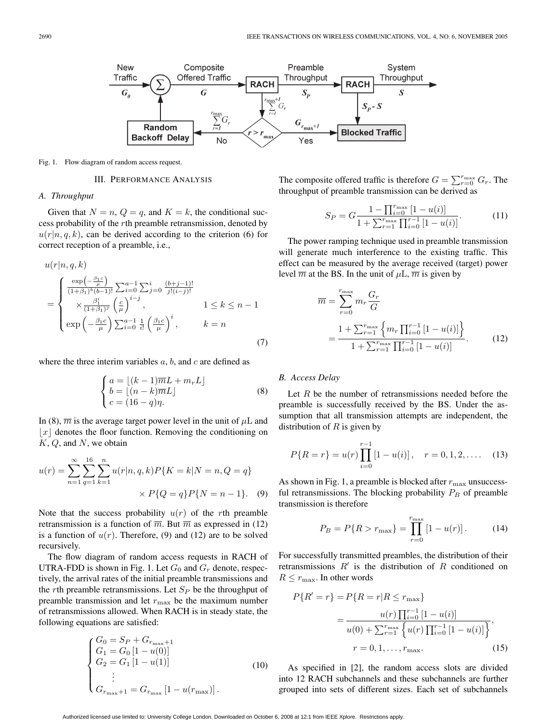

Fig. 1. Flow diagram of random access request.

#### III. PERFORMANCE ANALYSIS

## *A. Throughput*

Given that  $N = n$ ,  $Q = q$ , and  $K = k$ , the conditional success probability of the rth preamble retransmission, denoted by  $u(r|n, q, k)$ , can be derived according to the criterion (6) for correct reception of a preamble, i.e.,

$$
u(r|n, q, k)
$$
  
= 
$$
\begin{cases} \frac{\exp(-\frac{\beta_1 c}{\mu})}{(1+\beta_1)^b (b-1)!} \sum_{i=0}^{a-1} \sum_{j=0}^{i} \frac{(b+j-1)!}{j!(i-j)!} \\ \times \frac{\beta_1^i}{(1+\beta_1)^j} \left(\frac{c}{\mu}\right)^{i-j}, & 1 \le k \le n-1 \\ \exp\left(-\frac{\beta_1 c}{\mu}\right) \sum_{i=0}^{a-1} \frac{1}{i!} \left(\frac{\beta_1 c}{\mu}\right)^i, & k=n \end{cases}
$$
(7)

where the three interim variables  $a, b$ , and  $c$  are defined as

$$
\begin{cases}\na = \lfloor (k-1)\overline{m}L + m_r L \rfloor \\
b = \lfloor (n-k)\overline{m}L \rfloor \\
c = (16-q)\eta.\n\end{cases} \tag{8}
$$

In (8),  $\overline{m}$  is the average target power level in the unit of  $\mu$ L and  $|x|$  denotes the floor function. Removing the conditioning on  $K, Q$ , and N, we obtain

$$
u(r) = \sum_{n=1}^{\infty} \sum_{q=1}^{16} \sum_{k=1}^{n} u(r|n, q, k) P\{K = k | N = n, Q = q\}
$$

$$
\times P\{Q = q\} P\{N = n - 1\}. \quad (9)
$$

Note that the success probability  $u(r)$  of the rth preamble retransmission is a function of  $\overline{m}$ . But  $\overline{m}$  as expressed in (12) is a function of  $u(r)$ . Therefore, (9) and (12) are to be solved recursively.

The flow diagram of random access requests in RACH of UTRA-FDD is shown in Fig. 1. Let  $G_0$  and  $G_r$  denote, respectively, the arrival rates of the initial preamble transmissions and the rth preamble retransmissions. Let  $S_P$  be the throughput of preamble transmission and let  $r_{\text{max}}$  be the maximum number of retransmissions allowed. When RACH is in steady state, the following equations are satisfied:

$$
\begin{cases}\nG_0 = S_P + G_{r_{\text{max}}+1} \\
G_1 = G_0 [1 - u(0)] \\
G_2 = G_1 [1 - u(1)] \\
\vdots \\
G_{r_{\text{max}}+1} = G_{r_{\text{max}}} [1 - u(r_{\text{max}})].\n\end{cases} (10)
$$

The composite offered traffic is therefore  $G = \sum_{r=0}^{r_{\text{max}}} G_r$ . The throughput of preamble transmission can be derived as

$$
S_P = G \frac{1 - \prod_{i=0}^{r_{\text{max}}} [1 - u(i)]}{1 + \sum_{r=1}^{r_{\text{max}}} \prod_{i=0}^{r-1} [1 - u(i)]}.
$$
 (11)

The power ramping technique used in preamble transmission will generate much interference to the existing traffic. This effect can be measured by the average received (target) power level  $\overline{m}$  at the BS. In the unit of  $\mu$ L,  $\overline{m}$  is given by

$$
\overline{m} = \sum_{r=0}^{r_{\text{max}}} m_r \frac{G_r}{G}
$$
  
= 
$$
\frac{1 + \sum_{r=1}^{r_{\text{max}}} \left\{ m_r \prod_{i=0}^{r-1} [1 - u(i)] \right\}}{1 + \sum_{r=1}^{r_{\text{max}}} \prod_{i=0}^{r-1} [1 - u(i)]}.
$$
 (12)

## *B. Access Delay*

Let  $R$  be the number of retransmissions needed before the preamble is successfully received by the BS. Under the assumption that all transmission attempts are independent, the distribution of  $R$  is given by

$$
P\{R=r\} = u(r) \prod_{i=0}^{r-1} [1 - u(i)], \quad r = 0, 1, 2, \dots \quad (13)
$$

As shown in Fig. 1, a preamble is blocked after  $r_{\text{max}}$  unsuccessful retransmissions. The blocking probability  $P_B$  of preamble transmission is therefore

$$
P_B = P\{R > r_{\text{max}}\} = \prod_{r=0}^{r_{\text{max}}} [1 - u(r)]. \tag{14}
$$

For successfully transmitted preambles, the distribution of their retransmissions  $R'$  is the distribution of R conditioned on  $R \leq r_{\text{max}}$ . In other words

$$
P\{R' = r\} = P\{R = r | R \le r_{\text{max}}\}
$$

$$
= \frac{u(r) \prod_{i=0}^{r-1} [1 - u(i)]}{u(0) + \sum_{r=1}^{r_{\text{max}}} \left\{u(r) \prod_{i=0}^{r-1} [1 - u(i)]\right\}},
$$

$$
r = 0, 1, ..., r_{\text{max}}.
$$
(15)

As specified in [2], the random access slots are divided into 12 RACH subchannels and these subchannels are further grouped into sets of different sizes. Each set of subchannels

Authorized licensed use limited to: University College London. Downloaded on October 6, 2008 at 12:1 from IEEE Xplore. Restrictions apply.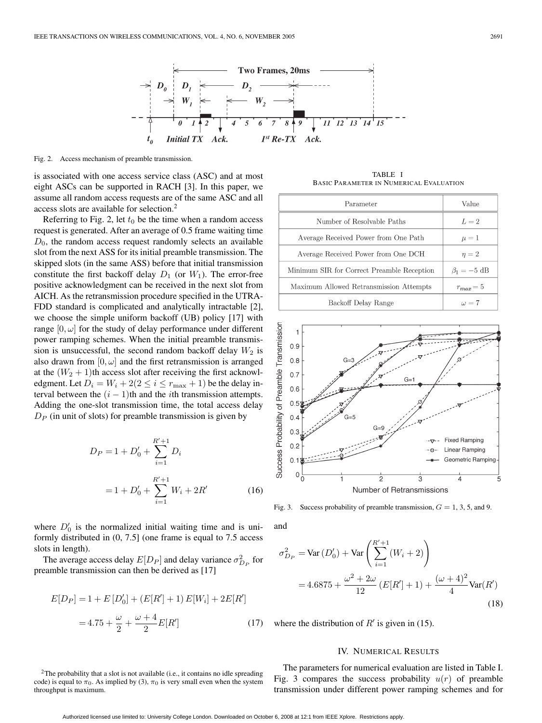

Fig. 2. Access mechanism of preamble transmission.

is associated with one access service class (ASC) and at most eight ASCs can be supported in RACH [3]. In this paper, we assume all random access requests are of the same ASC and all access slots are available for selection.2

Referring to Fig. 2, let  $t_0$  be the time when a random access request is generated. After an average of 0.5 frame waiting time  $D_0$ , the random access request randomly selects an available slot from the next ASS for its initial preamble transmission. The skipped slots (in the same ASS) before that initial transmission constitute the first backoff delay  $D_1$  (or  $W_1$ ). The error-free positive acknowledgment can be received in the next slot from AICH. As the retransmission procedure specified in the UTRA-FDD standard is complicated and analytically intractable [2], we choose the simple uniform backoff (UB) policy [17] with range  $[0, \omega]$  for the study of delay performance under different power ramping schemes. When the initial preamble transmission is unsuccessful, the second random backoff delay  $W_2$  is also drawn from  $[0, \omega]$  and the first retransmission is arranged at the  $(W_2 + 1)$ th access slot after receiving the first acknowledgment. Let  $D_i = W_i + 2(2 \le i \le r_{\text{max}} + 1)$  be the delay interval between the  $(i - 1)$ th and the *i*th transmission attempts. Adding the one-slot transmission time, the total access delay  $D_P$  (in unit of slots) for preamble transmission is given by

$$
D_P = 1 + D'_0 + \sum_{i=1}^{R'+1} D_i
$$
  
= 1 + D'\_0 + \sum\_{i=1}^{R'+1} W\_i + 2R' (16)

where  $D'_0$  is the normalized initial waiting time and is uniformly distributed in (0, 7.5] (one frame is equal to 7.5 access slots in length).

The average access delay  $E[D_P]$  and delay variance  $\sigma_{D_P}^2$  for preamble transmission can then be derived as [17]

$$
E[D_P] = 1 + E[D'_0] + (E[R'] + 1)E[W_i] + 2E[R']
$$

$$
= 4.75 + \frac{\omega}{2} + \frac{\omega + 4}{2}E[R'] \tag{17}
$$

<sup>2</sup>The probability that a slot is not available (i.e., it contains no idle spreading code) is equal to  $\pi_0$ . As implied by (3),  $\pi_0$  is very small even when the system throughput is maximum.

TABLE I BASIC PARAMETER IN NUMERICAL EVALUATION

| Parameter                                  | Value                     |
|--------------------------------------------|---------------------------|
| Number of Resolvable Paths                 | $L=2$                     |
| Average Received Power from One Path       | $\mu=1$                   |
| Average Received Power from One DCH        | $\eta = 2$                |
| Minimum SIR for Correct Preamble Reception | $\beta_1 = -5 \text{ dB}$ |
| Maximum Allowed Retransmission Attempts    | $r_{max} = 5$             |
| Backoff Delay Range                        | $\omega = 7$              |



Fig. 3. Success probability of preamble transmission,  $G = 1, 3, 5$ , and 9.

and

$$
\sigma_{D_P}^2 = \text{Var}(D_0') + \text{Var}\left(\sum_{i=1}^{R'+1} (W_i + 2)\right)
$$
  
= 4.6875 +  $\frac{\omega^2 + 2\omega}{12}$  (E[R'] + 1) +  $\frac{(\omega + 4)^2}{4}$  Var(R') (18)

where the distribution of  $R'$  is given in (15).

## IV. NUMERICAL RESULTS

The parameters for numerical evaluation are listed in Table I. Fig. 3 compares the success probability  $u(r)$  of preamble transmission under different power ramping schemes and for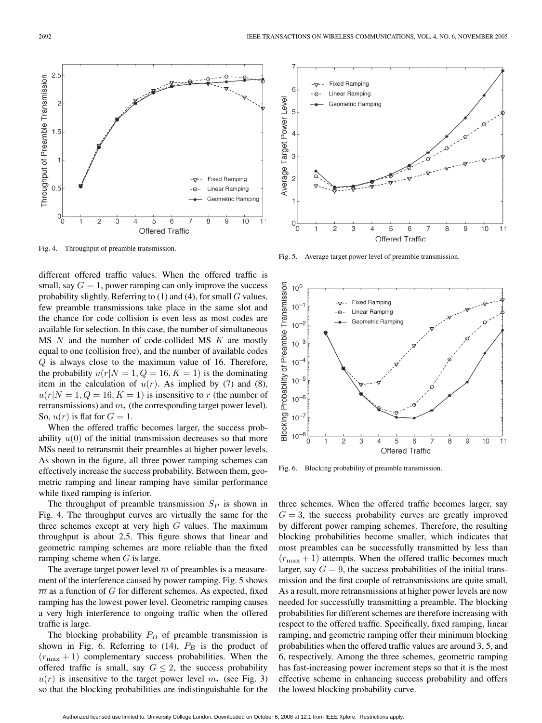

Fig. 4. Throughput of preamble transmission.

different offered traffic values. When the offered traffic is small, say  $G = 1$ , power ramping can only improve the success probability slightly. Referring to  $(1)$  and  $(4)$ , for small  $G$  values, few preamble transmissions take place in the same slot and the chance for code collision is even less as most codes are available for selection. In this case, the number of simultaneous  $MS$   $N$  and the number of code-collided  $MS$   $K$  are mostly equal to one (collision free), and the number of available codes Q is always close to the maximum value of 16. Therefore, the probability  $u(r|N = 1, Q = 16, K = 1)$  is the dominating item in the calculation of  $u(r)$ . As implied by (7) and (8),  $u(r|N = 1, Q = 16, K = 1)$  is insensitive to r (the number of retransmissions) and  $m_r$  (the corresponding target power level). So,  $u(r)$  is flat for  $G = 1$ .

When the offered traffic becomes larger, the success probability  $u(0)$  of the initial transmission decreases so that more MSs need to retransmit their preambles at higher power levels. As shown in the figure, all three power ramping schemes can effectively increase the success probability. Between them, geometric ramping and linear ramping have similar performance while fixed ramping is inferior.

The throughput of preamble transmission  $S_p$  is shown in Fig. 4. The throughput curves are virtually the same for the three schemes except at very high  $G$  values. The maximum throughput is about 2.5. This figure shows that linear and geometric ramping schemes are more reliable than the fixed ramping scheme when  $G$  is large.

The average target power level  $\overline{m}$  of preambles is a measurement of the interference caused by power ramping. Fig. 5 shows  $\overline{m}$  as a function of G for different schemes. As expected, fixed ramping has the lowest power level. Geometric ramping causes a very high interference to ongoing traffic when the offered traffic is large.

The blocking probability  $P_B$  of preamble transmission is shown in Fig. 6. Referring to (14),  $P_B$  is the product of  $(r_{\text{max}} + 1)$  complementary success probabilities. When the offered traffic is small, say  $G \leq 2$ , the success probability  $u(r)$  is insensitive to the target power level  $m_r$  (see Fig. 3) so that the blocking probabilities are indistinguishable for the



Fig. 5. Average target power level of preamble transmission.



Fig. 6. Blocking probability of preamble transmission.

three schemes. When the offered traffic becomes larger, say  $G = 3$ , the success probability curves are greatly improved by different power ramping schemes. Therefore, the resulting blocking probabilities become smaller, which indicates that most preambles can be successfully transmitted by less than  $(r_{\text{max}} + 1)$  attempts. When the offered traffic becomes much larger, say  $G = 9$ , the success probabilities of the initial transmission and the first couple of retransmissions are quite small. As a result, more retransmissions at higher power levels are now needed for successfully transmitting a preamble. The blocking probabilities for different schemes are therefore increasing with respect to the offered traffic. Specifically, fixed ramping, linear ramping, and geometric ramping offer their minimum blocking probabilities when the offered traffic values are around 3, 5, and 6, respectively. Among the three schemes, geometric ramping has fast-increasing power increment steps so that it is the most effective scheme in enhancing success probability and offers the lowest blocking probability curve.